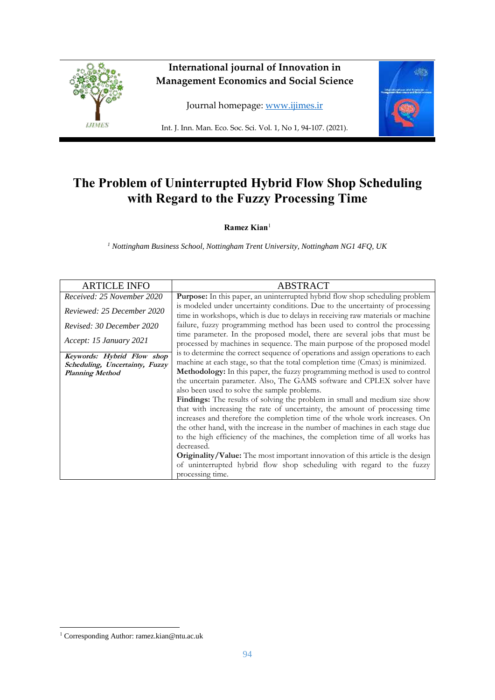

# **The Problem of Uninterrupted Hybrid Flow Shop Scheduling with Regard to the Fuzzy Processing Time**

**Ramez Kian**<sup>1</sup>

*<sup>1</sup> Nottingham Business School, Nottingham Trent University, Nottingham NG1 4FQ, UK*

| <b>ARTICLE INFO</b>            | <b>ABSTRACT</b>                                                                                                                                                  |
|--------------------------------|------------------------------------------------------------------------------------------------------------------------------------------------------------------|
| Received: 25 November 2020     | Purpose: In this paper, an uninterrupted hybrid flow shop scheduling problem                                                                                     |
| Reviewed: 25 December 2020     | is modeled under uncertainty conditions. Due to the uncertainty of processing<br>time in workshops, which is due to delays in receiving raw materials or machine |
| Revised: 30 December 2020      | failure, fuzzy programming method has been used to control the processing                                                                                        |
| Accept: 15 January 2021        | time parameter. In the proposed model, there are several jobs that must be<br>processed by machines in sequence. The main purpose of the proposed model          |
| Keywords: Hybrid Flow shop     | is to determine the correct sequence of operations and assign operations to each                                                                                 |
| Scheduling, Uncertainty, Fuzzy | machine at each stage, so that the total completion time (Cmax) is minimized.<br>Methodology: In this paper, the fuzzy programming method is used to control     |
| <b>Planning Method</b>         | the uncertain parameter. Also, The GAMS software and CPLEX solver have                                                                                           |
|                                |                                                                                                                                                                  |
|                                | also been used to solve the sample problems.                                                                                                                     |
|                                | Findings: The results of solving the problem in small and medium size show                                                                                       |
|                                | that with increasing the rate of uncertainty, the amount of processing time                                                                                      |
|                                | increases and therefore the completion time of the whole work increases. On                                                                                      |
|                                | the other hand, with the increase in the number of machines in each stage due                                                                                    |
|                                | to the high efficiency of the machines, the completion time of all works has                                                                                     |
|                                | decreased.                                                                                                                                                       |
|                                | Originality/Value: The most important innovation of this article is the design                                                                                   |
|                                | of uninterrupted hybrid flow shop scheduling with regard to the fuzzy                                                                                            |
|                                | processing time.                                                                                                                                                 |

-

<sup>1</sup> Corresponding Author: ramez.kian@ntu.ac.uk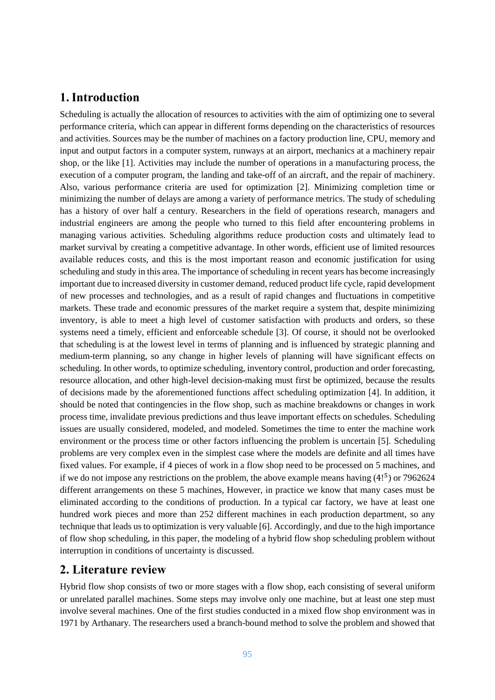## **1.Introduction**

Scheduling is actually the allocation of resources to activities with the aim of optimizing one to several performance criteria, which can appear in different forms depending on the characteristics of resources and activities. Sources may be the number of machines on a factory production line, CPU, memory and input and output factors in a computer system, runways at an airport, mechanics at a machinery repair shop, or the like [1]. Activities may include the number of operations in a manufacturing process, the execution of a computer program, the landing and take-off of an aircraft, and the repair of machinery. Also, various performance criteria are used for optimization [2]. Minimizing completion time or minimizing the number of delays are among a variety of performance metrics. The study of scheduling has a history of over half a century. Researchers in the field of operations research, managers and industrial engineers are among the people who turned to this field after encountering problems in managing various activities. Scheduling algorithms reduce production costs and ultimately lead to market survival by creating a competitive advantage. In other words, efficient use of limited resources available reduces costs, and this is the most important reason and economic justification for using scheduling and study in this area. The importance of scheduling in recent years has become increasingly important due to increased diversity in customer demand, reduced product life cycle, rapid development of new processes and technologies, and as a result of rapid changes and fluctuations in competitive markets. These trade and economic pressures of the market require a system that, despite minimizing inventory, is able to meet a high level of customer satisfaction with products and orders, so these systems need a timely, efficient and enforceable schedule [3]. Of course, it should not be overlooked that scheduling is at the lowest level in terms of planning and is influenced by strategic planning and medium-term planning, so any change in higher levels of planning will have significant effects on scheduling. In other words, to optimize scheduling, inventory control, production and order forecasting, resource allocation, and other high-level decision-making must first be optimized, because the results of decisions made by the aforementioned functions affect scheduling optimization [4]. In addition, it should be noted that contingencies in the flow shop, such as machine breakdowns or changes in work process time, invalidate previous predictions and thus leave important effects on schedules. Scheduling issues are usually considered, modeled, and modeled. Sometimes the time to enter the machine work environment or the process time or other factors influencing the problem is uncertain [5]. Scheduling problems are very complex even in the simplest case where the models are definite and all times have fixed values. For example, if 4 pieces of work in a flow shop need to be processed on 5 machines, and if we do not impose any restrictions on the problem, the above example means having  $(4!^5)$  or 7962624 different arrangements on these 5 machines, However, in practice we know that many cases must be eliminated according to the conditions of production. In a typical car factory, we have at least one hundred work pieces and more than 252 different machines in each production department, so any technique that leads us to optimization is very valuable [6]. Accordingly, and due to the high importance of flow shop scheduling, in this paper, the modeling of a hybrid flow shop scheduling problem without interruption in conditions of uncertainty is discussed.

### **2. Literature review**

Hybrid flow shop consists of two or more stages with a flow shop, each consisting of several uniform or unrelated parallel machines. Some steps may involve only one machine, but at least one step must involve several machines. One of the first studies conducted in a mixed flow shop environment was in 1971 by Arthanary. The researchers used a branch-bound method to solve the problem and showed that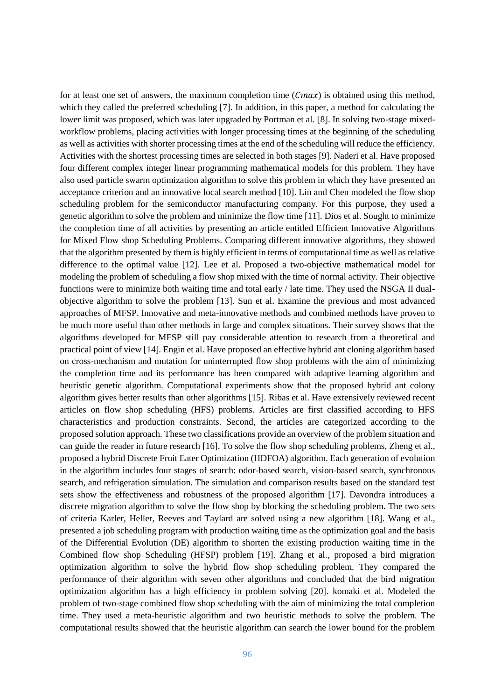for at least one set of answers, the maximum completion time  $(Cmax)$  is obtained using this method, which they called the preferred scheduling [7]. In addition, in this paper, a method for calculating the lower limit was proposed, which was later upgraded by Portman et al. [8]. In solving two-stage mixedworkflow problems, placing activities with longer processing times at the beginning of the scheduling as well as activities with shorter processing times at the end of the scheduling will reduce the efficiency. Activities with the shortest processing times are selected in both stages [9]. Naderi et al. Have proposed four different complex integer linear programming mathematical models for this problem. They have also used particle swarm optimization algorithm to solve this problem in which they have presented an acceptance criterion and an innovative local search method [10]. Lin and Chen modeled the flow shop scheduling problem for the semiconductor manufacturing company. For this purpose, they used a genetic algorithm to solve the problem and minimize the flow time [11]. Dios et al. Sought to minimize the completion time of all activities by presenting an article entitled Efficient Innovative Algorithms for Mixed Flow shop Scheduling Problems. Comparing different innovative algorithms, they showed that the algorithm presented by them is highly efficient in terms of computational time as well as relative difference to the optimal value [12]. Lee et al. Proposed a two-objective mathematical model for modeling the problem of scheduling a flow shop mixed with the time of normal activity. Their objective functions were to minimize both waiting time and total early / late time. They used the NSGA II dualobjective algorithm to solve the problem [13]. Sun et al. Examine the previous and most advanced approaches of MFSP. Innovative and meta-innovative methods and combined methods have proven to be much more useful than other methods in large and complex situations. Their survey shows that the algorithms developed for MFSP still pay considerable attention to research from a theoretical and practical point of view [14]. Engin et al. Have proposed an effective hybrid ant cloning algorithm based on cross-mechanism and mutation for uninterrupted flow shop problems with the aim of minimizing the completion time and its performance has been compared with adaptive learning algorithm and heuristic genetic algorithm. Computational experiments show that the proposed hybrid ant colony algorithm gives better results than other algorithms [15]. Ribas et al. Have extensively reviewed recent articles on flow shop scheduling (HFS) problems. Articles are first classified according to HFS characteristics and production constraints. Second, the articles are categorized according to the proposed solution approach. These two classifications provide an overview of the problem situation and can guide the reader in future research [16]. To solve the flow shop scheduling problems, Zheng et al., proposed a hybrid Discrete Fruit Eater Optimization (HDFOA) algorithm. Each generation of evolution in the algorithm includes four stages of search: odor-based search, vision-based search, synchronous search, and refrigeration simulation. The simulation and comparison results based on the standard test sets show the effectiveness and robustness of the proposed algorithm [17]. Davondra introduces a discrete migration algorithm to solve the flow shop by blocking the scheduling problem. The two sets of criteria Karler, Heller, Reeves and Taylard are solved using a new algorithm [18]. Wang et al., presented a job scheduling program with production waiting time as the optimization goal and the basis of the Differential Evolution (DE) algorithm to shorten the existing production waiting time in the Combined flow shop Scheduling (HFSP) problem [19]. Zhang et al., proposed a bird migration optimization algorithm to solve the hybrid flow shop scheduling problem. They compared the performance of their algorithm with seven other algorithms and concluded that the bird migration optimization algorithm has a high efficiency in problem solving [20]. komaki et al. Modeled the problem of two-stage combined flow shop scheduling with the aim of minimizing the total completion time. They used a meta-heuristic algorithm and two heuristic methods to solve the problem. The computational results showed that the heuristic algorithm can search the lower bound for the problem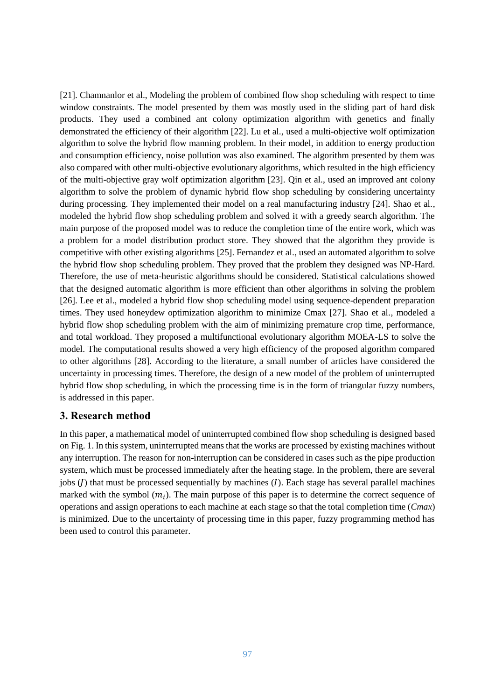[21]. Chamnanlor et al., Modeling the problem of combined flow shop scheduling with respect to time window constraints. The model presented by them was mostly used in the sliding part of hard disk products. They used a combined ant colony optimization algorithm with genetics and finally demonstrated the efficiency of their algorithm [22]. Lu et al., used a multi-objective wolf optimization algorithm to solve the hybrid flow manning problem. In their model, in addition to energy production and consumption efficiency, noise pollution was also examined. The algorithm presented by them was also compared with other multi-objective evolutionary algorithms, which resulted in the high efficiency of the multi-objective gray wolf optimization algorithm [23]. Qin et al., used an improved ant colony algorithm to solve the problem of dynamic hybrid flow shop scheduling by considering uncertainty during processing. They implemented their model on a real manufacturing industry [24]. Shao et al., modeled the hybrid flow shop scheduling problem and solved it with a greedy search algorithm. The main purpose of the proposed model was to reduce the completion time of the entire work, which was a problem for a model distribution product store. They showed that the algorithm they provide is competitive with other existing algorithms [25]. Fernandez et al., used an automated algorithm to solve the hybrid flow shop scheduling problem. They proved that the problem they designed was NP-Hard. Therefore, the use of meta-heuristic algorithms should be considered. Statistical calculations showed that the designed automatic algorithm is more efficient than other algorithms in solving the problem [26]. Lee et al., modeled a hybrid flow shop scheduling model using sequence-dependent preparation times. They used honeydew optimization algorithm to minimize Cmax [27]. Shao et al., modeled a hybrid flow shop scheduling problem with the aim of minimizing premature crop time, performance, and total workload. They proposed a multifunctional evolutionary algorithm MOEA-LS to solve the model. The computational results showed a very high efficiency of the proposed algorithm compared to other algorithms [28]. According to the literature, a small number of articles have considered the uncertainty in processing times. Therefore, the design of a new model of the problem of uninterrupted hybrid flow shop scheduling, in which the processing time is in the form of triangular fuzzy numbers, is addressed in this paper.

#### **3. Research method**

In this paper, a mathematical model of uninterrupted combined flow shop scheduling is designed based on Fig. 1. In this system, uninterrupted means that the works are processed by existing machines without any interruption. The reason for non-interruption can be considered in cases such as the pipe production system, which must be processed immediately after the heating stage. In the problem, there are several jobs  $($ ) that must be processed sequentially by machines  $($ ]. Each stage has several parallel machines marked with the symbol  $(m_i)$ . The main purpose of this paper is to determine the correct sequence of operations and assign operations to each machine at each stage so that the total completion time (*Cmax*) is minimized. Due to the uncertainty of processing time in this paper, fuzzy programming method has been used to control this parameter.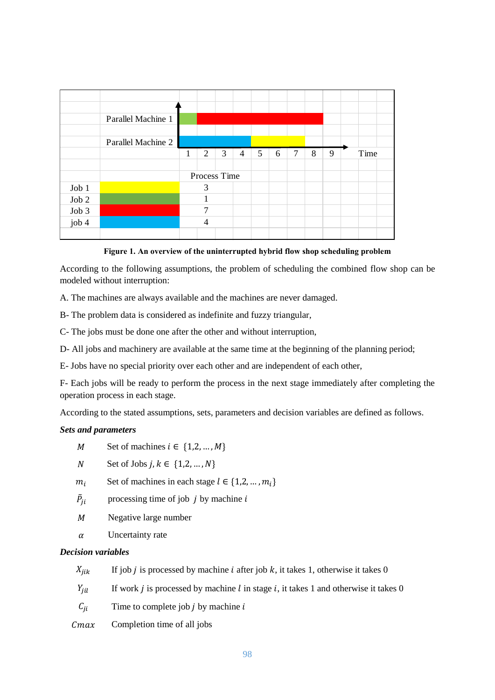|       | Parallel Machine 1 |   |                |   |                |   |   |        |   |   |      |  |
|-------|--------------------|---|----------------|---|----------------|---|---|--------|---|---|------|--|
|       |                    |   |                |   |                |   |   |        |   |   |      |  |
|       | Parallel Machine 2 |   |                |   |                |   |   |        |   |   |      |  |
|       |                    | 1 | $\overline{2}$ | 3 | $\overline{4}$ | 5 | 6 | $\tau$ | 8 | 9 | Time |  |
|       |                    |   |                |   |                |   |   |        |   |   |      |  |
|       |                    |   | Process Time   |   |                |   |   |        |   |   |      |  |
| Job 1 |                    |   | 3              |   |                |   |   |        |   |   |      |  |
| Job 2 |                    |   |                |   |                |   |   |        |   |   |      |  |
| Job 3 |                    |   | 7              |   |                |   |   |        |   |   |      |  |
| job 4 |                    |   | 4              |   |                |   |   |        |   |   |      |  |
|       |                    |   |                |   |                |   |   |        |   |   |      |  |

**Figure 1. An overview of the uninterrupted hybrid flow shop scheduling problem**

According to the following assumptions, the problem of scheduling the combined flow shop can be modeled without interruption:

A. The machines are always available and the machines are never damaged.

B- The problem data is considered as indefinite and fuzzy triangular,

C- The jobs must be done one after the other and without interruption,

D- All jobs and machinery are available at the same time at the beginning of the planning period;

E- Jobs have no special priority over each other and are independent of each other,

F- Each jobs will be ready to perform the process in the next stage immediately after completing the operation process in each stage.

According to the stated assumptions, sets, parameters and decision variables are defined as follows.

#### *Sets and parameters*

- M Set of machines  $i \in \{1,2,...,M\}$
- N Set of Jobs  $j, k \in \{1, 2, ..., N\}$
- $m_i$  Set of machines in each stage  $l \in \{1, 2, ..., m_i\}$
- $\tilde{P}_{ii}$ processing time of job  $j$  by machine  $i$
- $M$  Negative large number
- $\alpha$  Uncertainty rate

#### *Decision variables*

 $X_{iik}$  If job *j* is processed by machine *i* after job *k*, it takes 1, otherwise it takes 0

 $Y_{iil}$  If work *j* is processed by machine *l* in stage *i*, it takes 1 and otherwise it takes 0

 $C_{ii}$  Time to complete job *j* by machine *i* 

 $Cmax$  Completion time of all jobs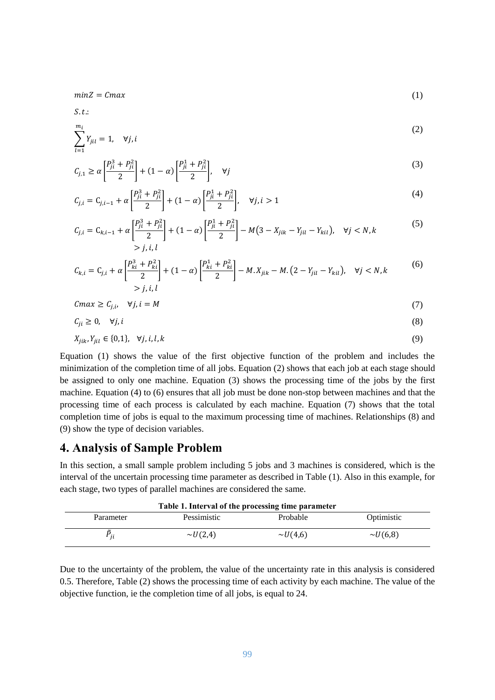$minZ = Cmax$  (1)

 $S.t.$ 

$$
\sum_{l=1}^{m_i} Y_{jil} = 1, \quad \forall j, i
$$

$$
C_{j,1} \ge \alpha \left[ \frac{P_{ji}^3 + P_{ji}^2}{2} \right] + (1 - \alpha) \left[ \frac{P_{ji}^1 + P_{ji}^2}{2} \right], \quad \forall j \tag{3}
$$

$$
C_{j,i} = C_{j,i-1} + \alpha \left[ \frac{P_{ji}^3 + P_{ji}^2}{2} \right] + (1 - \alpha) \left[ \frac{P_{ji}^1 + P_{ji}^2}{2} \right], \quad \forall j, i > 1
$$
 (4)

$$
C_{j,i} = C_{k,i-1} + \alpha \left[ \frac{P_{ji}^3 + P_{ji}^2}{2} \right] + (1 - \alpha) \left[ \frac{P_{ji}^1 + P_{ji}^2}{2} \right] - M(3 - X_{jik} - Y_{jil} - Y_{kil}), \quad \forall j < N, k
$$
\n
$$
> j, i, l \tag{5}
$$

$$
C_{k,i} = C_{j,i} + \alpha \left[ \frac{P_{ki}^3 + P_{ki}^2}{2} \right] + (1 - \alpha) \left[ \frac{P_{ki}^1 + P_{ki}^2}{2} \right] - M \cdot X_{jik} - M \cdot (2 - Y_{jil} - Y_{kil}), \quad \forall j < N, k
$$
\n<sup>(6)</sup>\n
$$
> j, i, l
$$

$$
Cmax \ge C_{j,i}, \quad \forall j, i = M \tag{7}
$$

$$
C_{ji} \ge 0, \quad \forall j, i \tag{8}
$$

$$
X_{jik}, Y_{jil} \in \{0,1\}, \quad \forall j, i, l, k \tag{9}
$$

Equation (1) shows the value of the first objective function of the problem and includes the minimization of the completion time of all jobs. Equation (2) shows that each job at each stage should be assigned to only one machine. Equation (3) shows the processing time of the jobs by the first machine. Equation (4) to (6) ensures that all job must be done non-stop between machines and that the processing time of each process is calculated by each machine. Equation (7) shows that the total completion time of jobs is equal to the maximum processing time of machines. Relationships (8) and (9) show the type of decision variables.

#### **4. Analysis of Sample Problem**

In this section, a small sample problem including 5 jobs and 3 machines is considered, which is the interval of the uncertain processing time parameter as described in Table (1). Also in this example, for each stage, two types of parallel machines are considered the same.

| Table 1. Interval of the processing time parameter |               |               |               |  |  |
|----------------------------------------------------|---------------|---------------|---------------|--|--|
| Parameter                                          | Pessimistic   | Probable      | Optimistic    |  |  |
| Ξiί                                                | $\sim U(2,4)$ | $\sim U(4,6)$ | $\sim U(6,8)$ |  |  |

Due to the uncertainty of the problem, the value of the uncertainty rate in this analysis is considered 0.5. Therefore, Table (2) shows the processing time of each activity by each machine. The value of the objective function, ie the completion time of all jobs, is equal to 24.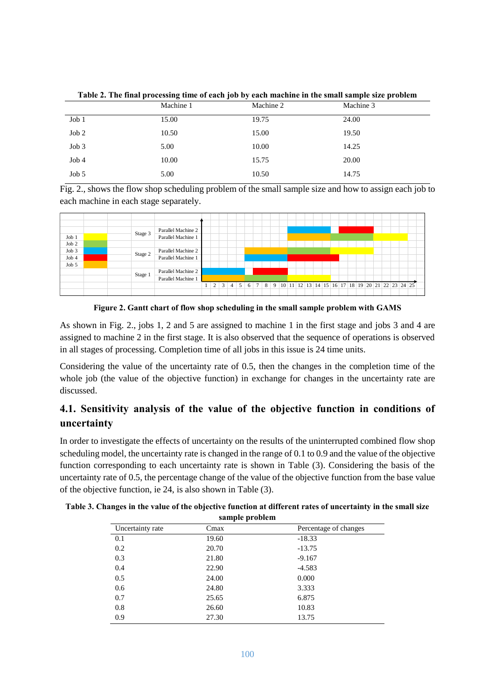|       | Machine 1 | Machine 2 | Machine 3 |
|-------|-----------|-----------|-----------|
| Job 1 | 15.00     | 19.75     | 24.00     |
| Job 2 | 10.50     | 15.00     | 19.50     |
| Job 3 | 5.00      | 10.00     | 14.25     |
| Job4  | 10.00     | 15.75     | 20.00     |
| Job 5 | 5.00      | 10.50     | 14.75     |

**Table 2. The final processing time of each job by each machine in the small sample size problem**

Fig. 2., shows the flow shop scheduling problem of the small sample size and how to assign each job to each machine in each stage separately.



**Figure 2. Gantt chart of flow shop scheduling in the small sample problem with GAMS**

As shown in Fig. 2., jobs 1, 2 and 5 are assigned to machine 1 in the first stage and jobs 3 and 4 are assigned to machine 2 in the first stage. It is also observed that the sequence of operations is observed in all stages of processing. Completion time of all jobs in this issue is 24 time units.

Considering the value of the uncertainty rate of 0.5, then the changes in the completion time of the whole job (the value of the objective function) in exchange for changes in the uncertainty rate are discussed.

# **4.1. Sensitivity analysis of the value of the objective function in conditions of uncertainty**

In order to investigate the effects of uncertainty on the results of the uninterrupted combined flow shop scheduling model, the uncertainty rate is changed in the range of 0.1 to 0.9 and the value of the objective function corresponding to each uncertainty rate is shown in Table (3). Considering the basis of the uncertainty rate of 0.5, the percentage change of the value of the objective function from the base value of the objective function, ie 24, is also shown in Table (3).

| sample problem   |       |                       |  |  |  |  |
|------------------|-------|-----------------------|--|--|--|--|
| Uncertainty rate | Cmax  | Percentage of changes |  |  |  |  |
| 0.1              | 19.60 | $-18.33$              |  |  |  |  |
| 0.2              | 20.70 | $-13.75$              |  |  |  |  |
| 0.3              | 21.80 | $-9.167$              |  |  |  |  |
| 0.4              | 22.90 | $-4.583$              |  |  |  |  |
| 0.5              | 24.00 | 0.000                 |  |  |  |  |
| 0.6              | 24.80 | 3.333                 |  |  |  |  |
| 0.7              | 25.65 | 6.875                 |  |  |  |  |
| 0.8              | 26.60 | 10.83                 |  |  |  |  |
| 0.9              | 27.30 | 13.75                 |  |  |  |  |

**Table 3. Changes in the value of the objective function at different rates of uncertainty in the small size**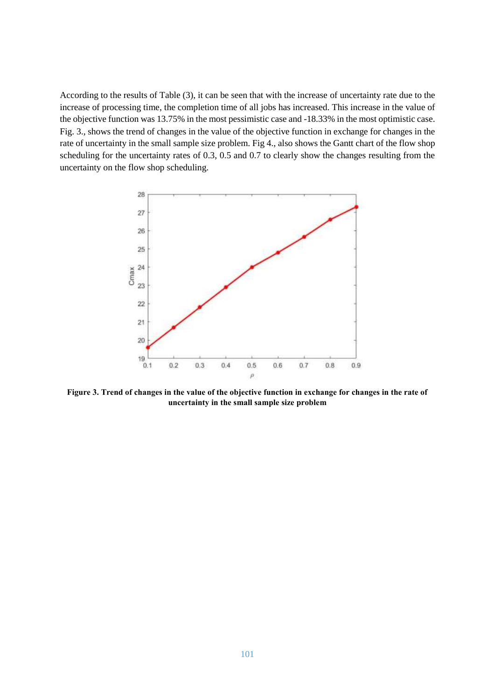According to the results of Table (3), it can be seen that with the increase of uncertainty rate due to the increase of processing time, the completion time of all jobs has increased. This increase in the value of the objective function was 13.75% in the most pessimistic case and -18.33% in the most optimistic case. Fig. 3., shows the trend of changes in the value of the objective function in exchange for changes in the rate of uncertainty in the small sample size problem. Fig 4., also shows the Gantt chart of the flow shop scheduling for the uncertainty rates of 0.3, 0.5 and 0.7 to clearly show the changes resulting from the uncertainty on the flow shop scheduling.



**Figure 3. Trend of changes in the value of the objective function in exchange for changes in the rate of uncertainty in the small sample size problem**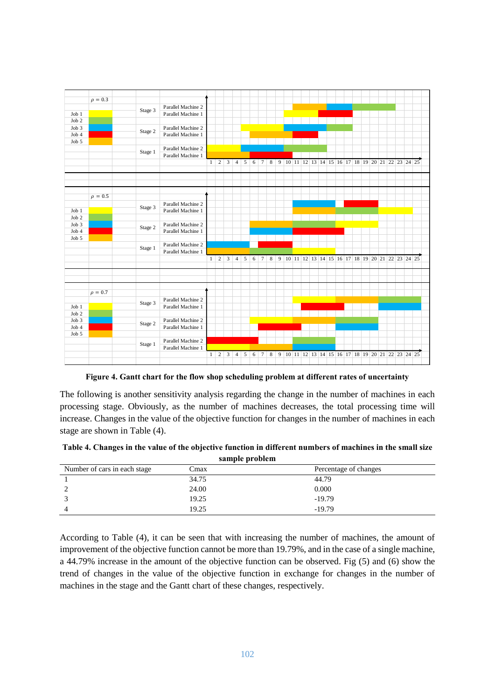|       | $\rho = 0.3$ |         |                    |              |                 |                |                |   |   |                 |         |  |  |  |  |  |                                                           |  |  |  |
|-------|--------------|---------|--------------------|--------------|-----------------|----------------|----------------|---|---|-----------------|---------|--|--|--|--|--|-----------------------------------------------------------|--|--|--|
|       |              |         | Parallel Machine 2 |              |                 |                |                |   |   |                 |         |  |  |  |  |  |                                                           |  |  |  |
| Job 1 |              | Stage 3 | Parallel Machine 1 |              |                 |                |                |   |   |                 |         |  |  |  |  |  |                                                           |  |  |  |
| Job 2 |              |         |                    |              |                 |                |                |   |   |                 |         |  |  |  |  |  |                                                           |  |  |  |
|       |              |         |                    |              |                 |                |                |   |   |                 |         |  |  |  |  |  |                                                           |  |  |  |
| Job 3 |              | Stage 2 | Parallel Machine 2 |              |                 |                |                |   |   |                 |         |  |  |  |  |  |                                                           |  |  |  |
| Job 4 |              |         | Parallel Machine 1 |              |                 |                |                |   |   |                 |         |  |  |  |  |  |                                                           |  |  |  |
| Job 5 |              |         |                    |              |                 |                |                |   |   |                 |         |  |  |  |  |  |                                                           |  |  |  |
|       |              | Stage 1 | Parallel Machine 2 |              |                 |                |                |   |   |                 |         |  |  |  |  |  |                                                           |  |  |  |
|       |              |         | Parallel Machine 1 |              |                 |                |                |   |   |                 |         |  |  |  |  |  |                                                           |  |  |  |
|       |              |         |                    | 1            | $\overline{c}$  | 3              | $\overline{4}$ | 5 |   | $6 \mid 7$      | $\bf 8$ |  |  |  |  |  |                                                           |  |  |  |
|       |              |         |                    |              |                 |                |                |   |   |                 |         |  |  |  |  |  |                                                           |  |  |  |
|       |              |         |                    |              |                 |                |                |   |   |                 |         |  |  |  |  |  |                                                           |  |  |  |
|       |              |         |                    |              |                 |                |                |   |   |                 |         |  |  |  |  |  |                                                           |  |  |  |
|       |              |         |                    |              |                 |                |                |   |   |                 |         |  |  |  |  |  |                                                           |  |  |  |
|       | $\rho = 0.5$ |         |                    |              |                 |                |                |   |   |                 |         |  |  |  |  |  |                                                           |  |  |  |
|       |              |         | Parallel Machine 2 |              |                 |                |                |   |   |                 |         |  |  |  |  |  |                                                           |  |  |  |
| Job 1 |              | Stage 3 | Parallel Machine 1 |              |                 |                |                |   |   |                 |         |  |  |  |  |  |                                                           |  |  |  |
|       |              |         |                    |              |                 |                |                |   |   |                 |         |  |  |  |  |  |                                                           |  |  |  |
| Job 2 |              |         |                    |              |                 |                |                |   |   |                 |         |  |  |  |  |  |                                                           |  |  |  |
| Job 3 |              | Stage 2 | Parallel Machine 2 |              |                 |                |                |   |   |                 |         |  |  |  |  |  |                                                           |  |  |  |
| Job 4 |              |         | Parallel Machine 1 |              |                 |                |                |   |   |                 |         |  |  |  |  |  |                                                           |  |  |  |
| Job 5 |              |         |                    |              |                 |                |                |   |   |                 |         |  |  |  |  |  |                                                           |  |  |  |
|       |              | Stage 1 | Parallel Machine 2 |              |                 |                |                |   |   |                 |         |  |  |  |  |  |                                                           |  |  |  |
|       |              |         | Parallel Machine 1 |              |                 |                |                |   |   |                 |         |  |  |  |  |  |                                                           |  |  |  |
|       |              |         |                    |              | $1 \mid 2 \mid$ | $\mathfrak{Z}$ | $\overline{4}$ |   |   |                 |         |  |  |  |  |  | 5 6 7 8 9 10 11 12 13 14 15 16 17 18 19 20 21 22 23 24 25 |  |  |  |
|       |              |         |                    |              |                 |                |                |   |   |                 |         |  |  |  |  |  |                                                           |  |  |  |
|       |              |         |                    |              |                 |                |                |   |   |                 |         |  |  |  |  |  |                                                           |  |  |  |
|       |              |         |                    |              |                 |                |                |   |   |                 |         |  |  |  |  |  |                                                           |  |  |  |
|       |              |         |                    |              |                 |                |                |   |   |                 |         |  |  |  |  |  |                                                           |  |  |  |
|       | $\rho = 0.7$ |         |                    |              |                 |                |                |   |   |                 |         |  |  |  |  |  |                                                           |  |  |  |
|       |              |         | Parallel Machine 2 |              |                 |                |                |   |   |                 |         |  |  |  |  |  |                                                           |  |  |  |
| Job 1 |              | Stage 3 | Parallel Machine 1 |              |                 |                |                |   |   |                 |         |  |  |  |  |  |                                                           |  |  |  |
| Job 2 |              |         |                    |              |                 |                |                |   |   |                 |         |  |  |  |  |  |                                                           |  |  |  |
|       |              |         |                    |              |                 |                |                |   |   |                 |         |  |  |  |  |  |                                                           |  |  |  |
| Job 3 |              | Stage 2 | Parallel Machine 2 |              |                 |                |                |   |   |                 |         |  |  |  |  |  |                                                           |  |  |  |
| Job 4 |              |         | Parallel Machine 1 |              |                 |                |                |   |   |                 |         |  |  |  |  |  |                                                           |  |  |  |
| Job 5 |              |         |                    |              |                 |                |                |   |   |                 |         |  |  |  |  |  |                                                           |  |  |  |
|       |              | Stage 1 | Parallel Machine 2 |              |                 |                |                |   |   |                 |         |  |  |  |  |  |                                                           |  |  |  |
|       |              |         |                    |              |                 |                |                |   |   |                 |         |  |  |  |  |  |                                                           |  |  |  |
|       |              |         | Parallel Machine 1 |              |                 |                |                |   |   |                 |         |  |  |  |  |  |                                                           |  |  |  |
|       |              |         |                    | $\mathbf{1}$ | 2               | 3              | 4              | 5 | 6 | $7\overline{ }$ | 8       |  |  |  |  |  | 9 10 11 12 13 14 15 16 17 18 19 20 21 22 23 24 25         |  |  |  |

**Figure 4. Gantt chart for the flow shop scheduling problem at different rates of uncertainty**

The following is another sensitivity analysis regarding the change in the number of machines in each processing stage. Obviously, as the number of machines decreases, the total processing time will increase. Changes in the value of the objective function for changes in the number of machines in each stage are shown in Table (4).

| Table 4. Changes in the value of the objective function in different numbers of machines in the small size |
|------------------------------------------------------------------------------------------------------------|
| sample problem                                                                                             |

|                              | <b>Sumple brownen</b> |                       |  |
|------------------------------|-----------------------|-----------------------|--|
| Number of cars in each stage | Cmax                  | Percentage of changes |  |
|                              | 34.75                 | 44.79                 |  |
|                              | 24.00                 | 0.000                 |  |
|                              | 19.25                 | $-19.79$              |  |
|                              | 19.25                 | $-19.79$              |  |

According to Table (4), it can be seen that with increasing the number of machines, the amount of improvement of the objective function cannot be more than 19.79%, and in the case of a single machine, a 44.79% increase in the amount of the objective function can be observed. Fig (5) and (6) show the trend of changes in the value of the objective function in exchange for changes in the number of machines in the stage and the Gantt chart of these changes, respectively.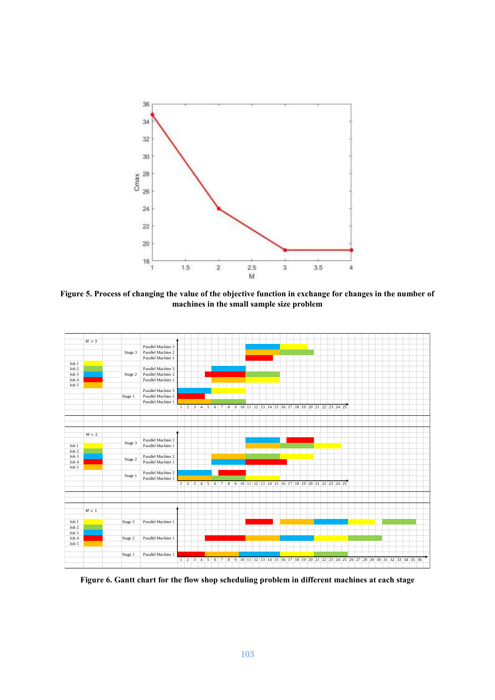

**Figure 5. Process of changing the value of the objective function in exchange for changes in the number of machines in the small sample size problem**



**Figure 6. Gantt chart for the flow shop scheduling problem in different machines at each stage**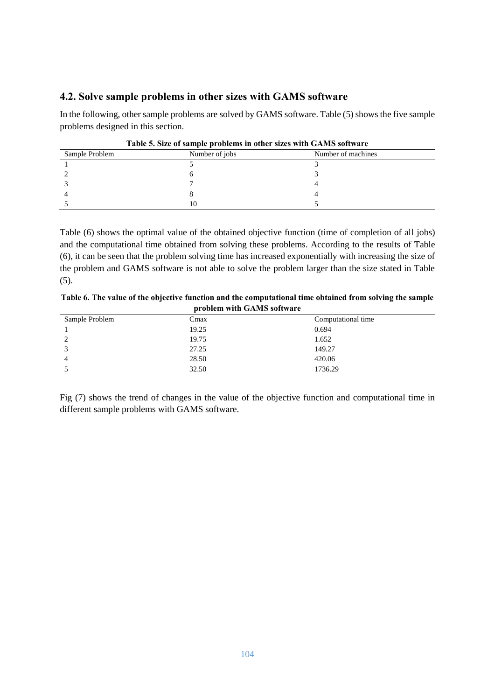### **4.2. Solve sample problems in other sizes with GAMS software**

In the following, other sample problems are solved by GAMS software. Table (5) shows the five sample problems designed in this section.

| Table 5. Size of sample problems in other sizes with GAMS software |                |                    |  |  |  |  |
|--------------------------------------------------------------------|----------------|--------------------|--|--|--|--|
| Sample Problem                                                     | Number of jobs | Number of machines |  |  |  |  |
|                                                                    |                |                    |  |  |  |  |
|                                                                    |                |                    |  |  |  |  |
|                                                                    |                |                    |  |  |  |  |
|                                                                    |                |                    |  |  |  |  |
|                                                                    | 10             |                    |  |  |  |  |

| Table 5. Size of sample problems in other sizes with GAMS software |  |  |  |
|--------------------------------------------------------------------|--|--|--|
|                                                                    |  |  |  |

Table (6) shows the optimal value of the obtained objective function (time of completion of all jobs) and the computational time obtained from solving these problems. According to the results of Table (6), it can be seen that the problem solving time has increased exponentially with increasing the size of the problem and GAMS software is not able to solve the problem larger than the size stated in Table (5).

**Table 6. The value of the objective function and the computational time obtained from solving the sample problem with GAMS software**

| Sample Problem | Cmax  | Computational time |
|----------------|-------|--------------------|
|                | 19.25 | 0.694              |
|                | 19.75 | 1.652              |
|                | 27.25 | 149.27             |
|                | 28.50 | 420.06             |
|                | 32.50 | 1736.29            |

Fig (7) shows the trend of changes in the value of the objective function and computational time in different sample problems with GAMS software.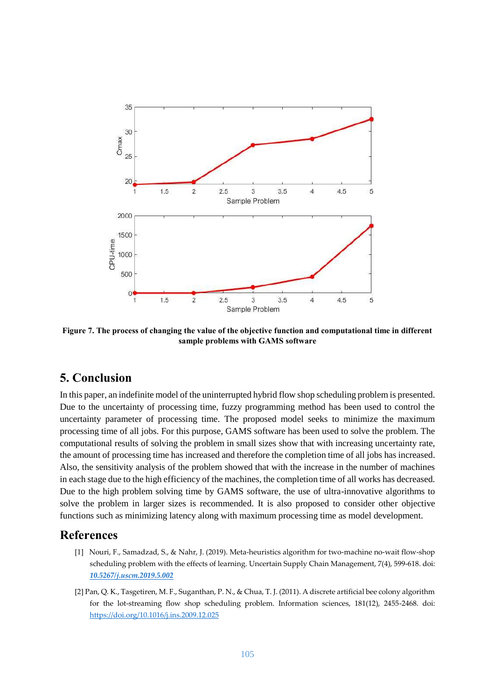

**Figure 7. The process of changing the value of the objective function and computational time in different sample problems with GAMS software**

## **5. Conclusion**

In this paper, an indefinite model of the uninterrupted hybrid flow shop scheduling problem is presented. Due to the uncertainty of processing time, fuzzy programming method has been used to control the uncertainty parameter of processing time. The proposed model seeks to minimize the maximum processing time of all jobs. For this purpose, GAMS software has been used to solve the problem. The computational results of solving the problem in small sizes show that with increasing uncertainty rate, the amount of processing time has increased and therefore the completion time of all jobs has increased. Also, the sensitivity analysis of the problem showed that with the increase in the number of machines in each stage due to the high efficiency of the machines, the completion time of all works has decreased. Due to the high problem solving time by GAMS software, the use of ultra-innovative algorithms to solve the problem in larger sizes is recommended. It is also proposed to consider other objective functions such as minimizing latency along with maximum processing time as model development.

### **References**

- [1] Nouri, F., Samadzad, S., & Nahr, J. (2019). Meta-heuristics algorithm for two-machine no-wait flow-shop scheduling problem with the effects of learning. Uncertain Supply Chain Management, 7(4), 599-618. doi: *[10.5267/j.uscm.2019.5.002](http://dx.doi.org/10.5267/j.uscm.2019.5.002)*
- [2] Pan, Q. K., Tasgetiren, M. F., Suganthan, P. N., & Chua, T. J. (2011). A discrete artificial bee colony algorithm for the lot-streaming flow shop scheduling problem. Information sciences, 181(12), 2455-2468. doi: <https://doi.org/10.1016/j.ins.2009.12.025>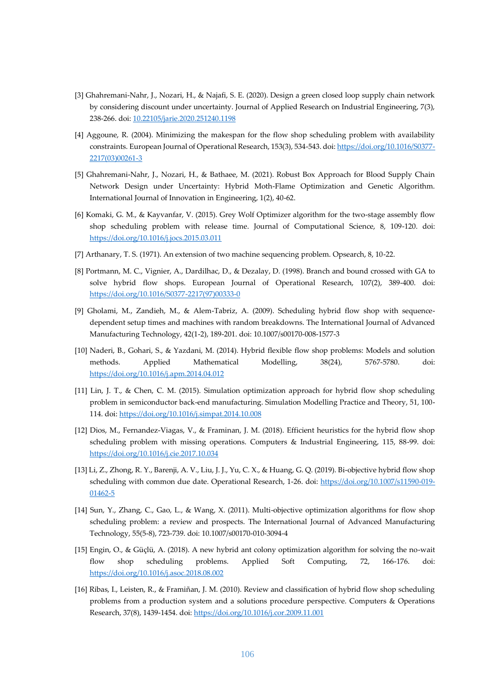- [3] Ghahremani-Nahr, J., Nozari, H., & Najafi, S. E. (2020). Design a green closed loop supply chain network by considering discount under uncertainty. Journal of Applied Research on Industrial Engineering, 7(3), 238-266. doi: [10.22105/jarie.2020.251240.1198](https://dx.doi.org/10.22105/jarie.2020.251240.1198)
- [4] Aggoune, R. (2004). Minimizing the makespan for the flow shop scheduling problem with availability constraints. European Journal of Operational Research, 153(3), 534-543. doi: [https://doi.org/10.1016/S0377-](https://doi.org/10.1016/S0377-2217(03)00261-3) [2217\(03\)00261-3](https://doi.org/10.1016/S0377-2217(03)00261-3)
- [5] Ghahremani-Nahr, J., Nozari, H., & Bathaee, M. (2021). Robust Box Approach for Blood Supply Chain Network Design under Uncertainty: Hybrid Moth-Flame Optimization and Genetic Algorithm. International Journal of Innovation in Engineering, 1(2), 40-62.
- [6] Komaki, G. M., & Kayvanfar, V. (2015). Grey Wolf Optimizer algorithm for the two-stage assembly flow shop scheduling problem with release time. Journal of Computational Science, 8, 109-120. doi: <https://doi.org/10.1016/j.jocs.2015.03.011>
- [7] Arthanary, T. S. (1971). An extension of two machine sequencing problem. Opsearch, 8, 10-22.
- [8] Portmann, M. C., Vignier, A., Dardilhac, D., & Dezalay, D. (1998). Branch and bound crossed with GA to solve hybrid flow shops. European Journal of Operational Research, 107(2), 389-400. doi: [https://doi.org/10.1016/S0377-2217\(97\)00333-0](https://doi.org/10.1016/S0377-2217(97)00333-0)
- [9] Gholami, M., Zandieh, M., & Alem-Tabriz, A. (2009). Scheduling hybrid flow shop with sequencedependent setup times and machines with random breakdowns. The International Journal of Advanced Manufacturing Technology, 42(1-2), 189-201. doi: 10.1007/s00170-008-1577-3
- [10] Naderi, B., Gohari, S., & Yazdani, M. (2014). Hybrid flexible flow shop problems: Models and solution methods. Applied Mathematical Modelling, 38(24), 5767-5780. doi: <https://doi.org/10.1016/j.apm.2014.04.012>
- [11] Lin, J. T., & Chen, C. M. (2015). Simulation optimization approach for hybrid flow shop scheduling problem in semiconductor back-end manufacturing. Simulation Modelling Practice and Theory, 51, 100- 114. doi: <https://doi.org/10.1016/j.simpat.2014.10.008>
- [12] Dios, M., Fernandez-Viagas, V., & Framinan, J. M. (2018). Efficient heuristics for the hybrid flow shop scheduling problem with missing operations. Computers & Industrial Engineering, 115, 88-99. doi: <https://doi.org/10.1016/j.cie.2017.10.034>
- [13] Li, Z., Zhong, R. Y., Barenji, A. V., Liu, J. J., Yu, C. X., & Huang, G. Q. (2019). Bi-objective hybrid flow shop scheduling with common due date. Operational Research, 1-26. doi: [https://doi.org/10.1007/s11590-019-](https://doi.org/10.1007/s11590-019-01462-5) [01462-5](https://doi.org/10.1007/s11590-019-01462-5)
- [14] Sun, Y., Zhang, C., Gao, L., & Wang, X. (2011). Multi-objective optimization algorithms for flow shop scheduling problem: a review and prospects. The International Journal of Advanced Manufacturing Technology, 55(5-8), 723-739. doi: 10.1007/s00170-010-3094-4
- [15] Engin, O., & Güçlü, A. (2018). A new hybrid ant colony optimization algorithm for solving the no-wait flow shop scheduling problems. Applied Soft Computing, 72, 166-176. doi: <https://doi.org/10.1016/j.asoc.2018.08.002>
- [16] Ribas, I., Leisten, R., & Framiñan, J. M. (2010). Review and classification of hybrid flow shop scheduling problems from a production system and a solutions procedure perspective. Computers & Operations Research, 37(8), 1439-1454. doi: <https://doi.org/10.1016/j.cor.2009.11.001>